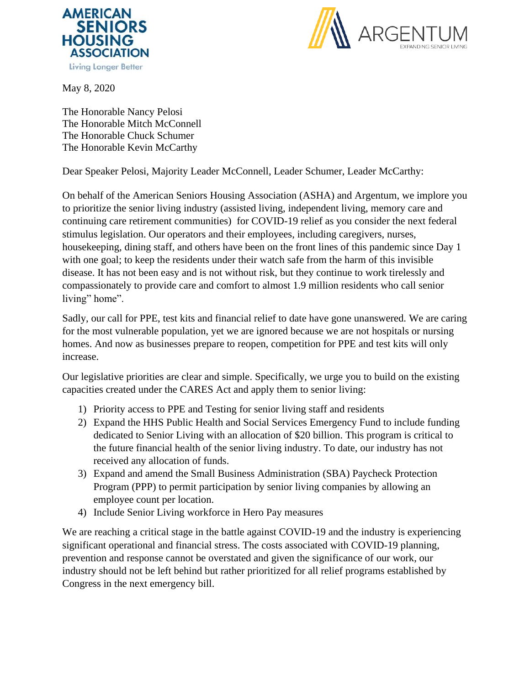



May 8, 2020

The Honorable Nancy Pelosi The Honorable Mitch McConnell The Honorable Chuck Schumer The Honorable Kevin McCarthy

Dear Speaker Pelosi, Majority Leader McConnell, Leader Schumer, Leader McCarthy:

On behalf of the American Seniors Housing Association (ASHA) and Argentum, we implore you to prioritize the senior living industry (assisted living, independent living, memory care and continuing care retirement communities) for COVID-19 relief as you consider the next federal stimulus legislation. Our operators and their employees, including caregivers, nurses, housekeeping, dining staff, and others have been on the front lines of this pandemic since Day 1 with one goal; to keep the residents under their watch safe from the harm of this invisible disease. It has not been easy and is not without risk, but they continue to work tirelessly and compassionately to provide care and comfort to almost 1.9 million residents who call senior living" home".

Sadly, our call for PPE, test kits and financial relief to date have gone unanswered. We are caring for the most vulnerable population, yet we are ignored because we are not hospitals or nursing homes. And now as businesses prepare to reopen, competition for PPE and test kits will only increase.

Our legislative priorities are clear and simple. Specifically, we urge you to build on the existing capacities created under the CARES Act and apply them to senior living:

- 1) Priority access to PPE and Testing for senior living staff and residents
- 2) Expand the HHS Public Health and Social Services Emergency Fund to include funding dedicated to Senior Living with an allocation of \$20 billion. This program is critical to the future financial health of the senior living industry. To date, our industry has not received any allocation of funds.
- 3) Expand and amend the Small Business Administration (SBA) Paycheck Protection Program (PPP) to permit participation by senior living companies by allowing an employee count per location.
- 4) Include Senior Living workforce in Hero Pay measures

We are reaching a critical stage in the battle against COVID-19 and the industry is experiencing significant operational and financial stress. The costs associated with COVID-19 planning, prevention and response cannot be overstated and given the significance of our work, our industry should not be left behind but rather prioritized for all relief programs established by Congress in the next emergency bill.